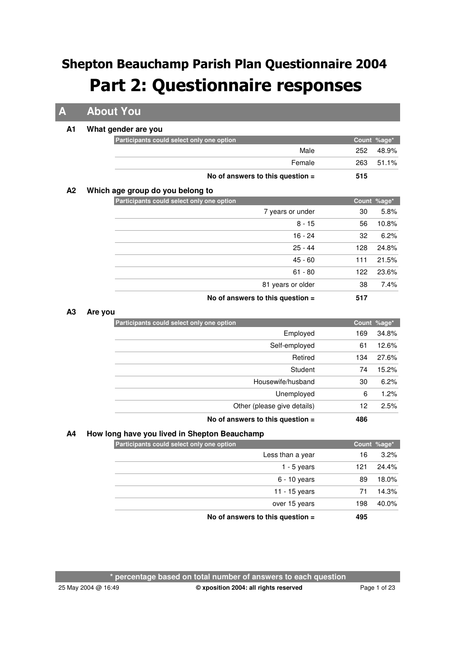**A About You**

#### **A1 What gender are you**

|    | Participants could select only one option |             | Count %age* |
|----|-------------------------------------------|-------------|-------------|
|    |                                           | Male<br>252 | 48.9%       |
|    | Female                                    | 263         | 51.1%       |
|    | No of answers to this question $=$        | 515         |             |
| A2 | Which age group do you belong to          |             |             |
|    | Participants could select only one option |             | Count %age* |
|    | 7 years or under                          |             | 5.8%<br>30  |
|    |                                           | 8 - 15      | 10.8%<br>56 |
|    | 16 - 24                                   |             | 6.2%<br>32  |
|    | $25 - 44$                                 | 128         | 24.8%       |
|    | $45 - 60$                                 | 111         | 21.5%       |
|    | $61 - 80$                                 | 122         | 23.6%       |
|    | 81 years or older                         |             | 7.4%<br>38  |

**No of answers to this question = 517**

#### **A3 Are you**

| Participants could select only one option |     | Count %age* |
|-------------------------------------------|-----|-------------|
| Employed                                  | 169 | 34.8%       |
| Self-employed                             | 61  | 12.6%       |
| Retired                                   | 134 | 27.6%       |
| Student                                   | 74  | 15.2%       |
| Housewife/husband                         | 30  | 6.2%        |
| Unemployed                                | 6   | 1.2%        |
| Other (please give details)               | 12  | 2.5%        |
| No of answers to this question $=$        | 486 |             |

### **A4 How long have you lived in Shepton Beauchamp**

| Participants could select only one option |     | Count %age* |
|-------------------------------------------|-----|-------------|
| Less than a year                          | 16  | 3.2%        |
| $1 - 5$ years                             | 121 | 24.4%       |
| $6 - 10$ years                            | 89  | 18.0%       |
| 11 - 15 years                             |     | 14.3%       |
| over 15 years                             | 198 | 40.0%       |
| No of answers to this question $=$        | 495 |             |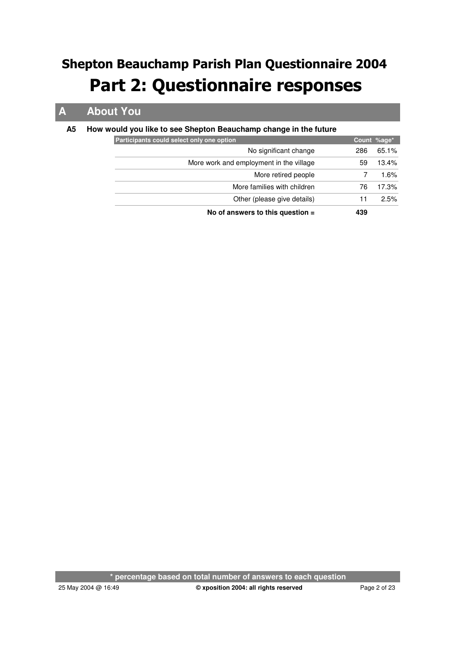## **A About You**

### **A5 How would you like to see Shepton Beauchamp change in the future**

| Participants could select only one option |     | Count %age* |
|-------------------------------------------|-----|-------------|
| No significant change                     | 286 | 65.1%       |
| More work and employment in the village   | 59  | 13.4%       |
| More retired people                       |     | $1.6\%$     |
| More families with children               | 76  | 17.3%       |
| Other (please give details)               | 11  | 2.5%        |
| No of answers to this question $=$        | 439 |             |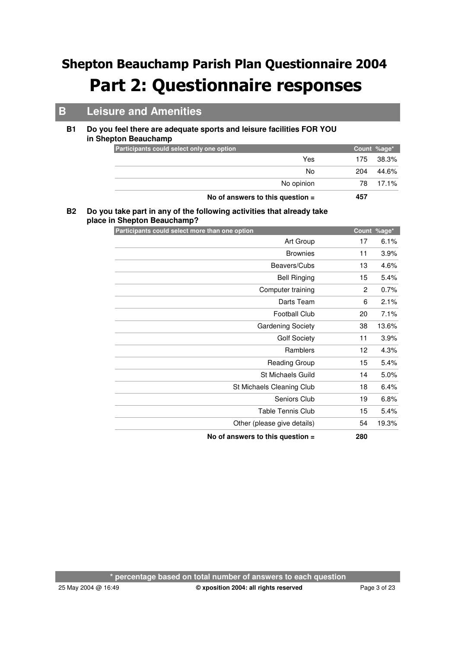## **B Leisure and Amenities**

#### **Do you feel there are adequate sports and leisure facilities FOR YOU in Shepton Beauchamp B1**

| Participants could select only one option |     | Count %age* |
|-------------------------------------------|-----|-------------|
| Yes                                       | 175 | 38.3%       |
| No                                        | 204 | 44.6%       |
| No opinion                                | 78. | 17.1%       |
| No of answers to this question $=$        | 457 |             |

#### **Do you take part in any of the following activities that already take B2 place in Shepton Beauchamp?**

| Participants could select more than one option |     | Count %age* |
|------------------------------------------------|-----|-------------|
| Art Group                                      | 17  | 6.1%        |
| <b>Brownies</b>                                | 11  | 3.9%        |
| Beavers/Cubs                                   | 13  | 4.6%        |
| <b>Bell Ringing</b>                            | 15  | 5.4%        |
| Computer training                              | 2   | 0.7%        |
| Darts Team                                     | 6   | 2.1%        |
| <b>Football Club</b>                           | 20  | 7.1%        |
| <b>Gardening Society</b>                       | 38  | 13.6%       |
| <b>Golf Society</b>                            | 11  | 3.9%        |
| Ramblers                                       | 12  | 4.3%        |
| Reading Group                                  | 15  | 5.4%        |
| St Michaels Guild                              | 14  | 5.0%        |
| St Michaels Cleaning Club                      | 18  | 6.4%        |
| Seniors Club                                   | 19  | 6.8%        |
| <b>Table Tennis Club</b>                       | 15  | 5.4%        |
| Other (please give details)                    | 54  | 19.3%       |
| No of answers to this question =               | 280 |             |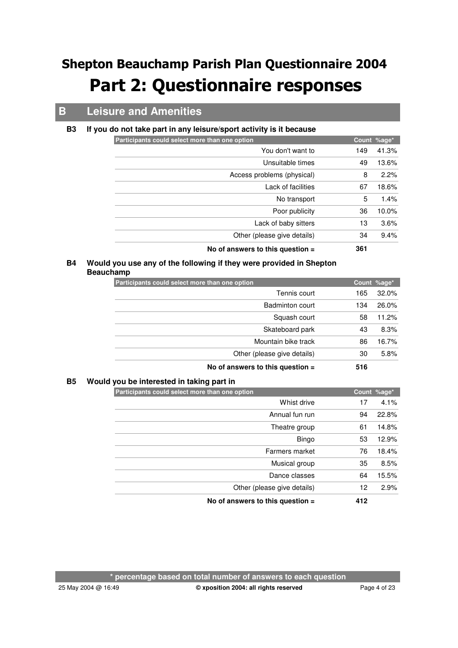## **B Leisure and Amenities**

#### **B3 If you do not take part in any leisure/sport activity is it because**

| Unsuitable times                   | 49  | 13.6% |
|------------------------------------|-----|-------|
| Access problems (physical)         | 8   | 2.2%  |
| Lack of facilities                 | 67  | 18.6% |
| No transport                       | 5   | 1.4%  |
| Poor publicity                     | 36  | 10.0% |
| Lack of baby sitters               | 13  | 3.6%  |
| Other (please give details)        | 34  | 9.4%  |
| No of answers to this question $=$ | 361 |       |

### **Would you use any of the following if they were provided in Shepton B4 Beauchamp**

| Participants could select more than one option |     | Count %age* |
|------------------------------------------------|-----|-------------|
| Tennis court                                   | 165 | 32.0%       |
| Badminton court                                | 134 | 26.0%       |
| Squash court                                   | 58  | 11.2%       |
| Skateboard park                                | 43  | 8.3%        |
| Mountain bike track                            | 86  | 16.7%       |
| Other (please give details)                    | 30  | 5.8%        |
| No of answers to this question $=$             | 516 |             |

#### **B5 Would you be interested in taking part in**

| Participants could select more than one option |     | Count %age* |
|------------------------------------------------|-----|-------------|
| Whist drive                                    | 17  | 4.1%        |
| Annual fun run                                 | 94  | 22.8%       |
| Theatre group                                  | 61  | 14.8%       |
| Bingo                                          | 53  | 12.9%       |
| Farmers market                                 | 76  | 18.4%       |
| Musical group                                  | 35  | 8.5%        |
| Dance classes                                  | 64  | 15.5%       |
| Other (please give details)                    | 12  | 2.9%        |
| No of answers to this question $=$             | 412 |             |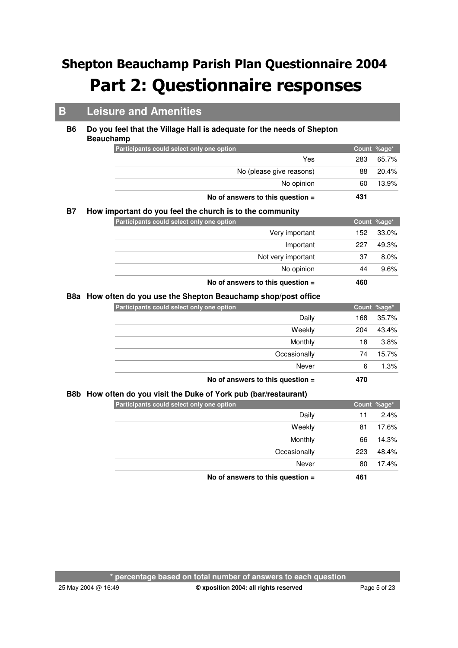## **B Leisure and Amenities**

#### **Do you feel that the Village Hall is adequate for the needs of Shepton Beauchamp B6**

|           | Participants could select only one option                    |     | Count %age* |
|-----------|--------------------------------------------------------------|-----|-------------|
|           | Yes                                                          | 283 | 65.7%       |
|           | No (please give reasons)                                     | 88  | 20.4%       |
|           | No opinion                                                   | 60  | 13.9%       |
|           | No of answers to this question =                             | 431 |             |
| <b>B7</b> | How important do you feel the church is to the community     |     |             |
|           | Participants could select only one option                    |     | Count %age* |
|           | Very important                                               | 152 | 33.0%       |
|           | Important                                                    | 227 | 49.3%       |
|           | Not very important                                           | 37  | 8.0%        |
|           | No opinion                                                   | 44  | 9.6%        |
|           | No of answers to this question =                             | 460 |             |
| B8a       | How often do you use the Shepton Beauchamp shop/post office  |     |             |
|           | Participants could select only one option                    |     | Count %age* |
|           | Daily                                                        | 168 | 35.7%       |
|           | Weekly                                                       | 204 | 43.4%       |
|           | Monthly                                                      | 18  | 3.8%        |
|           | Occasionally                                                 | 74  | 15.7%       |
|           | Never                                                        | 6   | 1.3%        |
|           | No of answers to this question =                             | 470 |             |
| B8b       | How often do you visit the Duke of York pub (bar/restaurant) |     |             |
|           | Participants could select only one option                    |     | Count %age* |
|           | Daily                                                        | 11  | 2.4%        |
|           | Weekly                                                       | 81  | 17.6%       |
|           | Monthly                                                      | 66  | 14.3%       |
|           | Occasionally                                                 | 223 | 48.4%       |
|           | Never                                                        | 80  | 17.4%       |

**No of answers to this question = 461**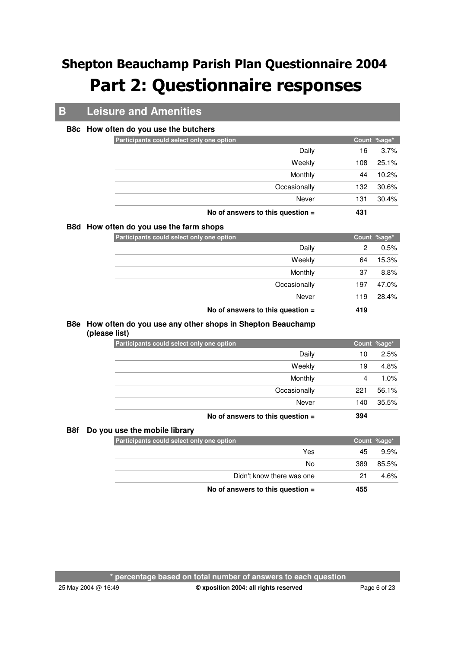## **B Leisure and Amenities**

#### **B8c How often do you use the butchers**

|                                           | No of anoware to this quastion $-$ | A21 |             |
|-------------------------------------------|------------------------------------|-----|-------------|
|                                           | Never                              | 131 | 30.4%       |
|                                           | Occasionally                       | 132 | 30.6%       |
|                                           | Monthly                            | 44  | 10.2%       |
|                                           | Weekly                             | 108 | 25.1%       |
|                                           | Daily                              | 16  | 3.7%        |
| Participants could select only one option |                                    |     | Count %age* |
|                                           |                                    |     |             |

#### **No of answers to this question = 431**

#### **B8d How often do you use the farm shops**

| Participants could select only one option |                                    |     | Count %age* |
|-------------------------------------------|------------------------------------|-----|-------------|
|                                           | Daily                              | 2   | 0.5%        |
|                                           | Weekly                             | 64  | 15.3%       |
|                                           | Monthly                            | 37  | 8.8%        |
|                                           | Occasionally                       | 197 | 47.0%       |
|                                           | Never                              | 119 | 28.4%       |
|                                           | No of answers to this question $=$ | 419 |             |

#### **How often do you use any other shops in Shepton Beauchamp B8e (please list)**

| Participants could select only one option |                                    |     | Count %age* |
|-------------------------------------------|------------------------------------|-----|-------------|
|                                           | Daily                              | 10  | 2.5%        |
|                                           | Weekly                             | 19  | 4.8%        |
|                                           | Monthly                            | 4   | 1.0%        |
|                                           | Occasionally                       | 221 | 56.1%       |
|                                           | Never                              | 140 | 35.5%       |
|                                           | No of answers to this question $=$ | 394 |             |

#### **B8f Do you use the mobile library**

| Participants could select only one option |     |     | Count %age* |
|-------------------------------------------|-----|-----|-------------|
|                                           | Yes | 45  | 9.9%        |
|                                           | No  | 389 | 85.5%       |
| Didn't know there was one                 |     | 21  | 4.6%        |
| No of answers to this question $=$        |     | 455 |             |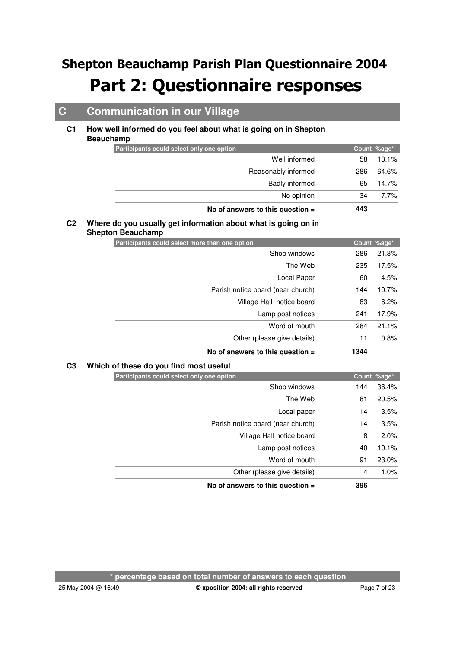## **C Communication in our Village**

#### **How well informed do you feel about what is going on in Shepton Beauchamp C1**

| Participants could select only one option |     | Count %age* |
|-------------------------------------------|-----|-------------|
| Well informed                             | 58  | 13.1%       |
| Reasonably informed                       | 286 | 64.6%       |
| <b>Badly informed</b>                     | 65  | 14.7%       |
| No opinion                                | 34  | 7.7%        |
| No of answers to this question $=$        | 443 |             |

### **Where do you usually get information about what is going on in C2 Shepton Beauchamp**

| Participants could select more than one option |      | Count %age* |
|------------------------------------------------|------|-------------|
| Shop windows                                   | 286  | 21.3%       |
| The Web                                        | 235  | 17.5%       |
| Local Paper                                    | 60   | 4.5%        |
| Parish notice board (near church)              | 144  | 10.7%       |
| Village Hall notice board                      | 83   | 6.2%        |
| Lamp post notices                              | 241  | 17.9%       |
| Word of mouth                                  | 284  | 21.1%       |
| Other (please give details)                    | 11   | 0.8%        |
| No of answers to this question $=$             | 1344 |             |

### **C3 Which of these do you find most useful**

| Participants could select only one option |     | Count %age* |
|-------------------------------------------|-----|-------------|
| Shop windows                              | 144 | 36.4%       |
| The Web                                   | 81  | 20.5%       |
| Local paper                               | 14  | 3.5%        |
| Parish notice board (near church)         | 14  | 3.5%        |
| Village Hall notice board                 | 8   | 2.0%        |
| Lamp post notices                         | 40  | 10.1%       |
| Word of mouth                             | 91  | 23.0%       |
| Other (please give details)               | 4   | 1.0%        |
| No of answers to this question $=$        | 396 |             |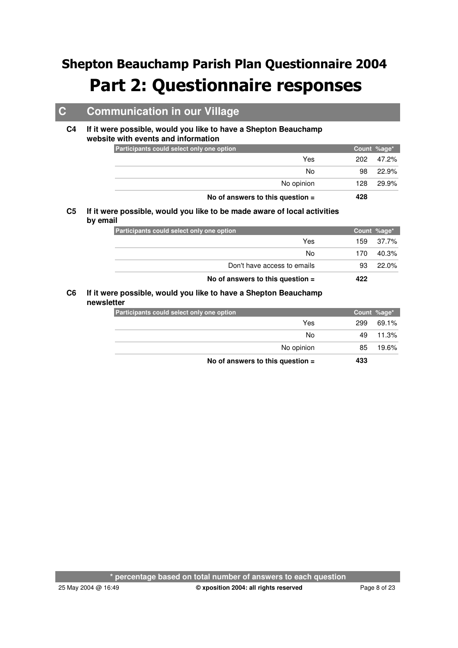## **C Communication in our Village**

#### **If it were possible, would you like to have a Shepton Beauchamp website with events and information C4**

| Participants could select only one option |     |     | Count %age* |
|-------------------------------------------|-----|-----|-------------|
|                                           | Yes | 202 | 47.2%       |
|                                           | No  | 98  | 22.9%       |
| No opinion                                |     | 128 | 29.9%       |
| No of answers to this question $=$        |     | 428 |             |

#### **If it were possible, would you like to be made aware of local activities C5 by email**

| Participants could select only one option |     | Count %age* |
|-------------------------------------------|-----|-------------|
| Yes                                       | 159 | 37.7%       |
| No                                        | 170 | 40.3%       |
| Don't have access to emails               |     | 22.0%       |
| No of answers to this question $=$        | 422 |             |

#### **If it were possible, would you like to have a Shepton Beauchamp newsletter C6**

| Participants could select only one option |     | Count %age* |
|-------------------------------------------|-----|-------------|
| Yes                                       | 299 | 69.1%       |
| No                                        | 49  | 11.3%       |
| No opinion                                | 85  | 19.6%       |
| No of answers to this question $=$        | 433 |             |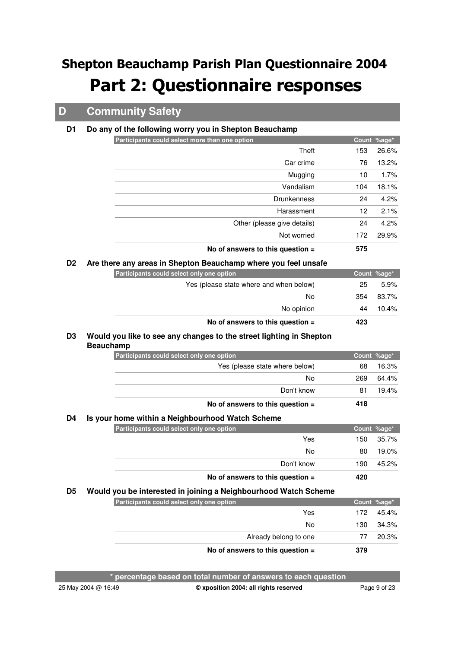### **D Community Safety**

#### **D1 Do any of the following worry you in Shepton Beauchamp**

| Participants could select more than one option |     | Count %age* |
|------------------------------------------------|-----|-------------|
| Theft                                          | 153 | 26.6%       |
| Car crime                                      | 76  | 13.2%       |
| Mugging                                        | 10  | 1.7%        |
| Vandalism                                      | 104 | 18.1%       |
| <b>Drunkenness</b>                             | 24  | 4.2%        |
| Harassment                                     | 12  | 2.1%        |
| Other (please give details)                    | 24  | 4.2%        |
| Not worried                                    | 172 | 29.9%       |
| No of answers to this question $=$             | 575 |             |

#### **D2 Are there any areas in Shepton Beauchamp where you feel unsafe**

| Participants could select only one option |     | Count %age* |
|-------------------------------------------|-----|-------------|
| Yes (please state where and when below)   | 25  | $5.9\%$     |
| No                                        | 354 | 83.7%       |
| No opinion                                | 44  | $10.4\%$    |
| No of answers to this question $=$        | 423 |             |

#### **Would you like to see any changes to the street lighting in Shepton D3 Beauchamp**

| Participants could select only one option |     | Count %age* |
|-------------------------------------------|-----|-------------|
| Yes (please state where below)            | 68  | 16.3%       |
| No                                        | 269 | 64.4%       |
| Don't know                                | 81  | 19.4%       |
| No of answers to this question $=$        | 418 |             |

#### **D4 Is your home within a Neighbourhood Watch Scheme**

| Participants could select only one option |     | Count %age* |
|-------------------------------------------|-----|-------------|
| Yes                                       | 150 | 35.7%       |
| No                                        | 80  | 19.0%       |
| Don't know                                | 190 | 45.2%       |
| No of answers to this question $=$        | 420 |             |

#### **D5 Would you be interested in joining a Neighbourhood Watch Scheme**

| Participants could select only one option |      | Count %age* |
|-------------------------------------------|------|-------------|
| Yes                                       | 172. | 45.4%       |
| No                                        | 130. | 34.3%       |
| Already belong to one                     |      | 20.3%       |
| No of answers to this question $=$        | 379  |             |

**\* percentage based on total number of answers to each question**

25 May 2004 @ 16:49 Page 9 of 23 **© xposition 2004: all rights reserved**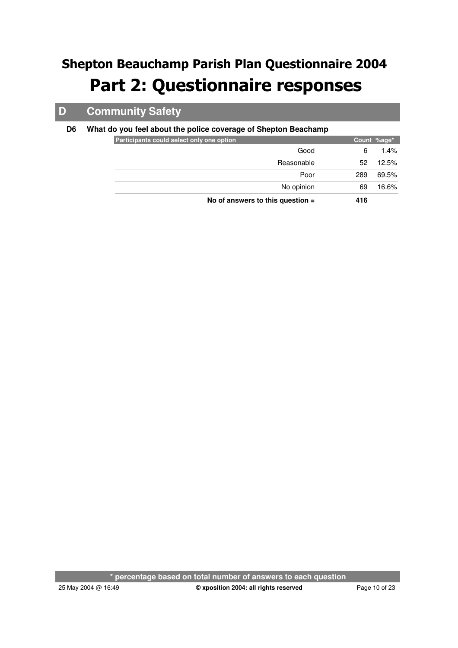## **D Community Safety**

### **D6 What do you feel about the police coverage of Shepton Beachamp**

| Participants could select only one option |            |     | Count %age* |
|-------------------------------------------|------------|-----|-------------|
|                                           | Good       | 6   | $1.4\%$     |
|                                           | Reasonable | 52  | 12.5%       |
|                                           | Poor       | 289 | 69.5%       |
|                                           | No opinion | 69  | 16.6%       |
| No of answers to this question $=$        |            | 416 |             |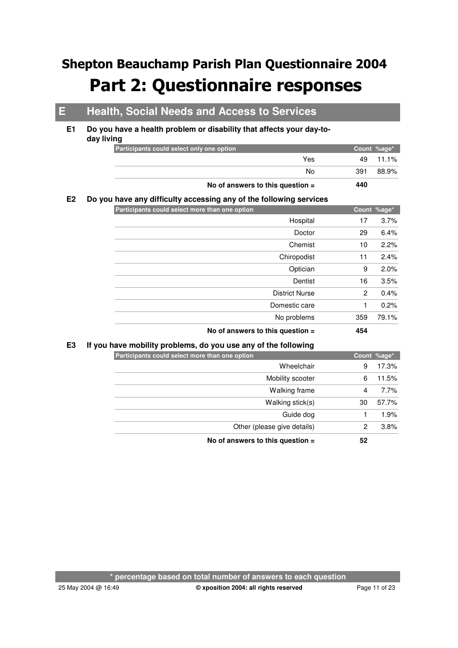## **E Health, Social Needs and Access to Services**

#### **Do you have a health problem or disability that affects your day-today living E1**

| Participants could select only one option | Count %age*  |
|-------------------------------------------|--------------|
| Yes                                       | 49 11.1%     |
| N٥                                        | 88.9%<br>391 |
| No of answers to this question $=$        | 440          |

#### **E2 Do you have any difficulty accessing any of the following services**

| Participants could select more than one option |                       |              | Count %age* |
|------------------------------------------------|-----------------------|--------------|-------------|
|                                                | Hospital              | 17           | 3.7%        |
|                                                | Doctor                | 29           | 6.4%        |
|                                                | Chemist               | 10           | 2.2%        |
|                                                | Chiropodist           | 11           | 2.4%        |
|                                                | Optician              | 9            | 2.0%        |
|                                                | Dentist               | 16           | 3.5%        |
|                                                | <b>District Nurse</b> | $\mathbf{2}$ | 0.4%        |
|                                                | Domestic care         | 1            | 0.2%        |
|                                                | No problems           | 359          | 79.1%       |
| No of answers to this question $=$             |                       | 454          |             |

### **E3 If you have mobility problems, do you use any of the following**

| Participants could select more than one option |    | Count %age* |
|------------------------------------------------|----|-------------|
| Wheelchair                                     | 9  | 17.3%       |
| Mobility scooter                               | 6  | 11.5%       |
| Walking frame                                  | 4  | 7.7%        |
| Walking stick(s)                               | 30 | 57.7%       |
| Guide dog                                      |    | 1.9%        |
| Other (please give details)                    | 2  | 3.8%        |
| No of answers to this question $=$             | 52 |             |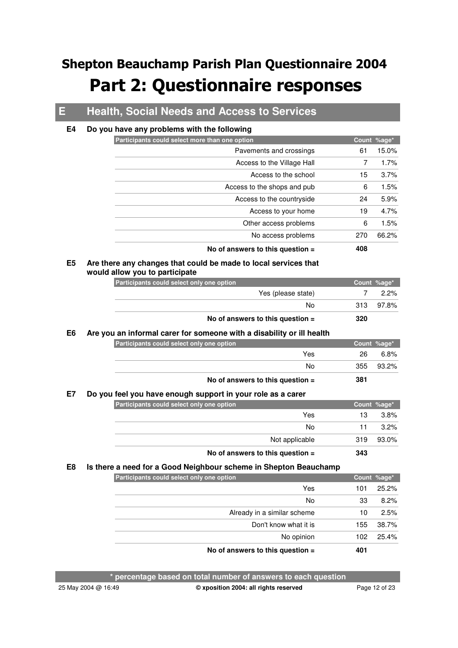## **E Health, Social Needs and Access to Services**

#### **E4 Do you have any problems with the following**

| Participants could select more than one option |     | Count %age* |
|------------------------------------------------|-----|-------------|
| Pavements and crossings                        | 61  | 15.0%       |
| Access to the Village Hall                     | 7   | 1.7%        |
| Access to the school                           | 15  | 3.7%        |
| Access to the shops and pub                    | 6   | 1.5%        |
| Access to the countryside                      | 24  | 5.9%        |
| Access to your home                            | 19  | 4.7%        |
| Other access problems                          | 6   | 1.5%        |
| No access problems                             | 270 | 66.2%       |
| No of answers to this question $=$             | 408 |             |

#### **Are there any changes that could be made to local services that would allow you to participate E5**

| Participants could select only one option |     | Count %age* |
|-------------------------------------------|-----|-------------|
| Yes (please state)                        |     | $2.2\%$     |
| No                                        | 313 | 97.8%       |
| No of answers to this question $=$        | 320 |             |

#### **E6 Are you an informal carer for someone with a disability or ill health**

| Participants could select only one option |     | Count %age* |
|-------------------------------------------|-----|-------------|
| Yes                                       | 26  | 6.8%        |
| No                                        | 355 | 93.2%       |
| No of answers to this question $=$        | 381 |             |

#### **E7 Do you feel you have enough support in your role as a carer**

| Participants could select only one option |  |  |                                    |     | Count %age* |
|-------------------------------------------|--|--|------------------------------------|-----|-------------|
|                                           |  |  | Yes                                | 13  | $3.8\%$     |
|                                           |  |  | No                                 |     | $3.2\%$     |
|                                           |  |  | Not applicable                     | 319 | 93.0%       |
|                                           |  |  | No of answers to this question $=$ | 343 |             |

### **E8 Is there a need for a Good Neighbour scheme in Shepton Beauchamp**

| Participants could select only one option |     | Count %age* |
|-------------------------------------------|-----|-------------|
| Yes                                       | 101 | 25.2%       |
| No                                        | 33  | 8.2%        |
| Already in a similar scheme               | 10  | 2.5%        |
| Don't know what it is                     | 155 | 38.7%       |
| No opinion                                | 102 | 25.4%       |
| No of answers to this question $=$        | 401 |             |

**\* percentage based on total number of answers to each question**

25 May 2004 @ 16:49 Page 12 of 23 **© xposition 2004: all rights reserved**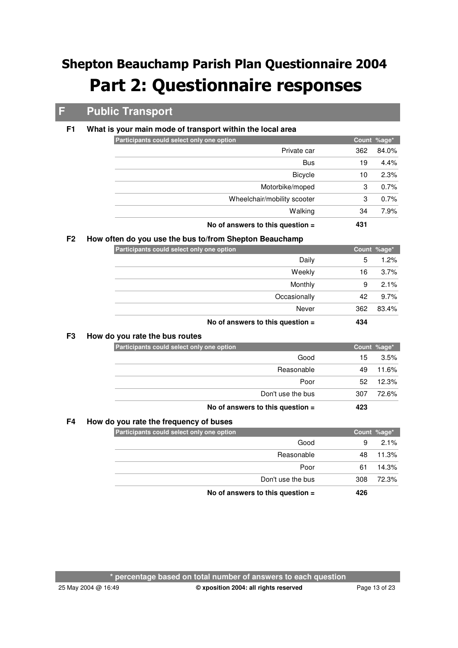## **F Public Transport**

### **F1 What is your main mode of transport within the local area**

| Participants could select only one option | Count %age*  |
|-------------------------------------------|--------------|
| Private car                               | 84.0%<br>362 |
| <b>Bus</b>                                | 4.4%<br>19   |
| <b>Bicycle</b>                            | 2.3%<br>10   |
| Motorbike/moped                           | 0.7%<br>3    |
| Wheelchair/mobility scooter               | 0.7%<br>3    |
| Walking                                   | 7.9%<br>34   |
| No of answers to this question $=$        | 431          |

### **F2 How often do you use the bus to/from Shepton Beauchamp**

| Participants could select only one option |                                    |     | Count %age* |
|-------------------------------------------|------------------------------------|-----|-------------|
|                                           | Daily                              | 5   | 1.2%        |
|                                           | Weekly                             | 16  | 3.7%        |
|                                           | Monthly                            | 9   | 2.1%        |
|                                           | Occasionally                       | 42  | 9.7%        |
|                                           | Never                              | 362 | 83.4%       |
|                                           | No of answers to this question $=$ | 434 |             |

#### **F3 How do you rate the bus routes**

| Participants could select only one option |                                    |     | Count %age* |
|-------------------------------------------|------------------------------------|-----|-------------|
|                                           | Good                               | 15  | 3.5%        |
|                                           | Reasonable                         | 49  | 11.6%       |
|                                           | Poor                               | 52  | 12.3%       |
|                                           | Don't use the bus                  | 307 | 72.6%       |
|                                           | No of answers to this question $=$ | 423 |             |

### **F4 How do you rate the frequency of buses**

| Participants could select only one option |     | Count %age* |
|-------------------------------------------|-----|-------------|
| Good                                      | 9   | 2.1%        |
| Reasonable                                | 48  | 11.3%       |
| Poor                                      | 61  | 14.3%       |
| Don't use the bus                         | 308 | 72.3%       |
| No of answers to this question $=$        | 426 |             |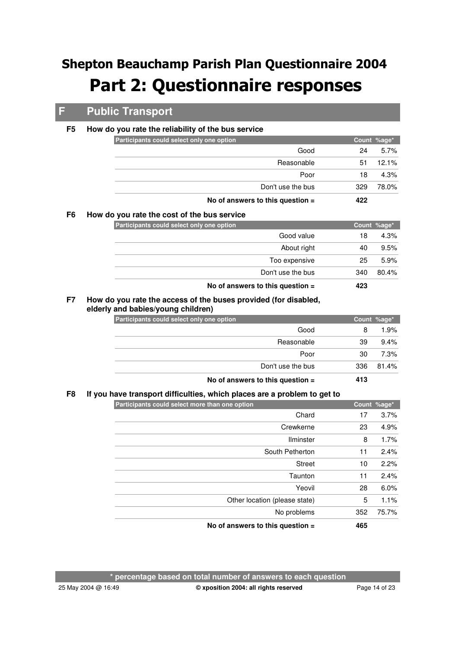## **F Public Transport**

#### **F5 How do you rate the reliability of the bus service**

| Participants could select only one option |     | Count %age* |
|-------------------------------------------|-----|-------------|
| Good                                      | 24  | $5.7\%$     |
| Reasonable                                | 51  | 12.1%       |
| Poor                                      | 18  | $4.3\%$     |
| Don't use the bus                         | 329 | 78.0%       |
| No of answers to this question $=$        | 422 |             |

### **F6 How do you rate the cost of the bus service**

| Participants could select only one option |               |     | Count %age* |
|-------------------------------------------|---------------|-----|-------------|
|                                           | Good value    | 18  | 4.3%        |
|                                           | About right   | 40  | 9.5%        |
|                                           | Too expensive | 25  | 5.9%        |
| Don't use the bus                         |               | 340 | 80.4%       |
| No of answers to this question $=$        |               | 423 |             |

#### **How do you rate the access of the buses provided (for disabled, elderly and babies/young children) F7**

|                                           | No of answers to this question $=$ | 413 |             |
|-------------------------------------------|------------------------------------|-----|-------------|
|                                           | Don't use the bus                  | 336 | 81.4%       |
|                                           | Poor                               | 30  | 7.3%        |
|                                           | Reasonable                         | 39  | 9.4%        |
|                                           | Good                               | 8   | 1.9%        |
| Participants could select only one option |                                    |     | Count %age* |

### **F8 If you have transport difficulties, which places are a problem to get to**

| Count %age* |     | Participants could select more than one option |
|-------------|-----|------------------------------------------------|
| 3.7%        | 17  | Chard                                          |
| 4.9%        | 23  | Crewkerne                                      |
| 1.7%        | 8   | <b>Ilminster</b>                               |
| 2.4%        | 11  | South Petherton                                |
| 2.2%        | 10  | <b>Street</b>                                  |
| 2.4%        | 11  | Taunton                                        |
| 6.0%        | 28  | Yeovil                                         |
| 1.1%        | 5   | Other location (please state)                  |
| 75.7%       | 352 | No problems                                    |
|             | 465 | No of answers to this question $=$             |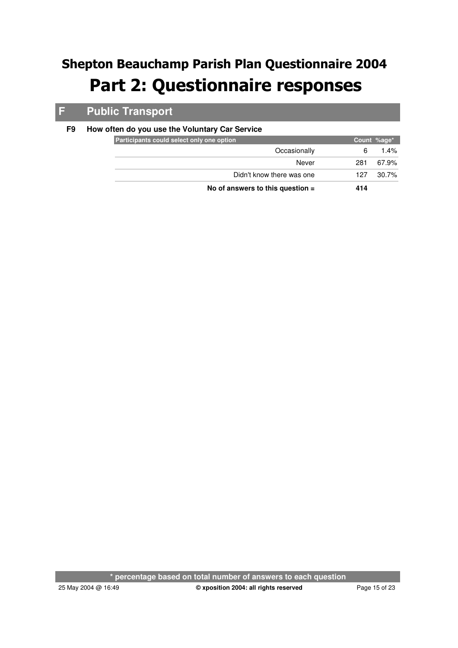## **F Public Transport**

### **F9 How often do you use the Voluntary Car Service**

| Participants could select only one option | Count %age* |          |
|-------------------------------------------|-------------|----------|
| Occasionally                              | 6           | $1.4\%$  |
| Never                                     | 281         | 67.9%    |
| Didn't know there was one                 | 127         | $30.7\%$ |
| No of answers to this question $=$        | 414         |          |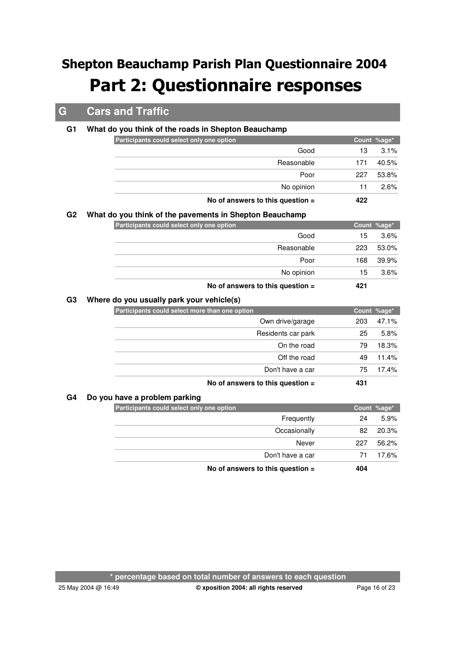## **G Cars and Traffic**

### **G1 What do you think of the roads in Shepton Beauchamp**

|    | Participants could select only one option               |             | Count %age* |
|----|---------------------------------------------------------|-------------|-------------|
|    | Good                                                    | 13          | 3.1%        |
|    | Reasonable                                              | 171         | 40.5%       |
|    | Poor                                                    | 227         | 53.8%       |
|    | No opinion                                              | 11          | 2.6%        |
|    | No of answers to this question =                        | 422         |             |
| G2 | What do you think of the pavements in Shepton Beauchamp |             |             |
|    | Participants could select only one option               |             | Count %age* |
|    | Good                                                    | 15          | 3.6%        |
|    | Reasonable                                              | 223         | 53.0%       |
|    | Poor                                                    | 168         | 39.9%       |
|    | No opinion                                              | 15          | 3.6%        |
|    | No of answers to this question =                        | 421         |             |
| G3 | Where do you usually park your vehicle(s)               |             |             |
|    | Participants could select more than one option          |             | Count %age* |
|    | Own drive/garage                                        | 203         | 47.1%       |
|    | Residents car park                                      | 25          | 5.8%        |
|    | On the road                                             | 79          | 18.3%       |
|    | Off the road                                            | 49          | 11.4%       |
|    | Don't have a car                                        | 75          | 17.4%       |
|    | No of answers to this question =                        | 431         |             |
| G4 | Do you have a problem parking                           |             |             |
|    | Participants could select only one option               | Count %age* |             |
|    |                                                         |             |             |

#### **G4 Do you have a problem parking**

| Participants could select only one option |                                    |     | Count %age* |
|-------------------------------------------|------------------------------------|-----|-------------|
|                                           | Frequently                         | 24  | 5.9%        |
|                                           | Occasionally                       | 82  | 20.3%       |
|                                           | Never                              | 227 | 56.2%       |
|                                           | Don't have a car                   | 71  | 17.6%       |
|                                           | No of answers to this question $=$ | 404 |             |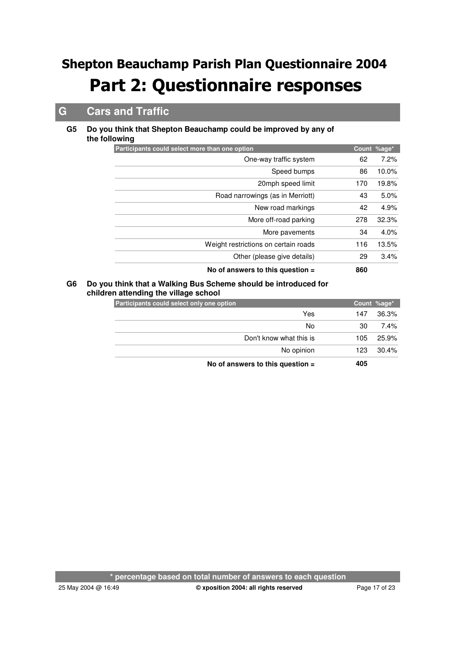## **G Cars and Traffic**

#### **Do you think that Shepton Beauchamp could be improved by any of the following G5**

| Participants could select more than one option |             |     | Count %age* |
|------------------------------------------------|-------------|-----|-------------|
| One-way traffic system                         |             | 62  | 7.2%        |
|                                                | Speed bumps | 86  | 10.0%       |
| 20mph speed limit                              |             | 170 | 19.8%       |
| Road narrowings (as in Merriott)               |             | 43  | 5.0%        |
| New road markings                              |             | 42  | 4.9%        |
| More off-road parking                          |             | 278 | 32.3%       |
| More pavements                                 |             | 34  | 4.0%        |
| Weight restrictions on certain roads           |             | 116 | 13.5%       |
| Other (please give details)                    |             | 29  | 3.4%        |
| No of answers to this question $=$             |             | 860 |             |

#### **Do you think that a Walking Bus Scheme should be introduced for G6 children attending the village school**

| Participants could select only one option | Count %age* |       |
|-------------------------------------------|-------------|-------|
| Yes                                       | 147         | 36.3% |
| No                                        | 30          | 7.4%  |
| Don't know what this is                   | 105         | 25.9% |
| No opinion                                | 123         | 30.4% |
| No of answers to this question $=$        | 405         |       |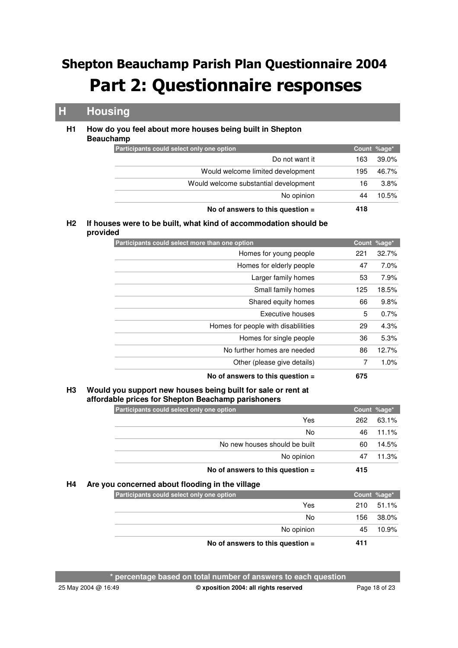### **H Housing**

#### **How do you feel about more houses being built in Shepton Beauchamp H1**

| Count %age*<br>Do not want it<br>163<br>Would welcome limited development<br>195<br>Would welcome substantial development<br>16<br>No opinion<br>44 |       | 418 | No of answers to this question $=$        |
|-----------------------------------------------------------------------------------------------------------------------------------------------------|-------|-----|-------------------------------------------|
|                                                                                                                                                     | 10.5% |     |                                           |
|                                                                                                                                                     | 3.8%  |     |                                           |
|                                                                                                                                                     | 46.7% |     |                                           |
|                                                                                                                                                     | 39.0% |     |                                           |
|                                                                                                                                                     |       |     | Participants could select only one option |

#### **If houses were to be built, what kind of accommodation should be H2 provided**

| Participants could select more than one option |     | Count %age* |
|------------------------------------------------|-----|-------------|
| Homes for young people                         | 221 | 32.7%       |
| Homes for elderly people                       | 47  | $7.0\%$     |
| Larger family homes                            | 53  | 7.9%        |
| Small family homes                             | 125 | 18.5%       |
| Shared equity homes                            | 66  | 9.8%        |
| Executive houses                               | 5   | 0.7%        |
| Homes for people with disabilities             | 29  | 4.3%        |
| Homes for single people                        | 36  | 5.3%        |
| No further homes are needed                    | 86  | 12.7%       |
| Other (please give details)                    | 7   | 1.0%        |
| No of answers to this question $=$             | 675 |             |

#### **Would you support new houses being built for sale or rent at affordable prices for Shepton Beachamp parishoners H3**

| Participants could select only one option |     | Count %age* |
|-------------------------------------------|-----|-------------|
| Yes                                       | 262 | 63.1%       |
| No                                        | 46  | 11.1%       |
| No new houses should be built             | 60  | 14.5%       |
| No opinion                                | 47  | 11.3%       |
| No of answers to this question $=$        | 415 |             |

### **H4 Are you concerned about flooding in the village**

| Participants could select only one option | Count %age*  |
|-------------------------------------------|--------------|
| Yes                                       | 210<br>51.1% |
| No                                        | 38.0%<br>156 |
| No opinion                                | 10.9%<br>45. |
| No of answers to this question $=$        | 411          |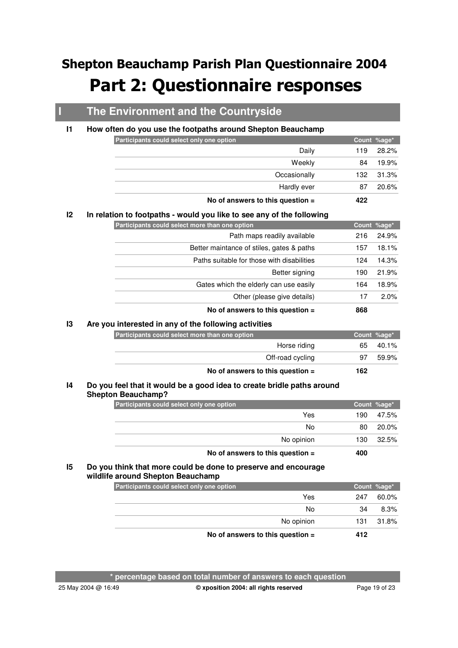## **I The Environment and the Countryside**

#### **I1 How often do you use the footpaths around Shepton Beauchamp**

| Participants could select only one option |                                    |     | Count %age* |
|-------------------------------------------|------------------------------------|-----|-------------|
|                                           | Daily                              | 119 | 28.2%       |
|                                           | Weekly                             | 84  | 19.9%       |
|                                           | Occasionally                       | 132 | 31.3%       |
|                                           | Hardly ever                        | 87  | 20.6%       |
|                                           | No of answers to this question $=$ | 422 |             |

#### **I2 In relation to footpaths - would you like to see any of the following**

| Participants could select more than one option |     | Count %age* |
|------------------------------------------------|-----|-------------|
| Path maps readily available                    | 216 | 24.9%       |
| Better maintance of stiles, gates & paths      | 157 | 18.1%       |
| Paths suitable for those with disabilities     | 124 | 14.3%       |
| Better signing                                 | 190 | 21.9%       |
| Gates which the elderly can use easily         | 164 | 18.9%       |
| Other (please give details)                    | 17  | 2.0%        |
| No of answers to this question $=$             | 868 |             |

### **I3 Are you interested in any of the following activities**

| Participants could select more than one option |     | Count %age* |
|------------------------------------------------|-----|-------------|
| Horse riding                                   | 65  | $40.1\%$    |
| Off-road cycling                               | 97  | 59.9%       |
| No of answers to this question $=$             | 162 |             |

#### **Do you feel that it would be a good idea to create bridle paths around Shepton Beauchamp? I4**

| Participants could select only one option |     | Count %age* |
|-------------------------------------------|-----|-------------|
| Yes                                       | 190 | 47.5%       |
| No                                        | 80  | 20.0%       |
| No opinion                                | 130 | 32.5%       |
| No of answers to this question $=$        | 400 |             |

#### **Do you think that more could be done to preserve and encourage wildlife around Shepton Beauchamp I5**

| Participants could select only one option |     | Count %age* |
|-------------------------------------------|-----|-------------|
| Yes                                       | 247 | 60.0%       |
| No                                        | 34  | 8.3%        |
| No opinion                                | 131 | 31.8%       |
| No of answers to this question $=$        | 412 |             |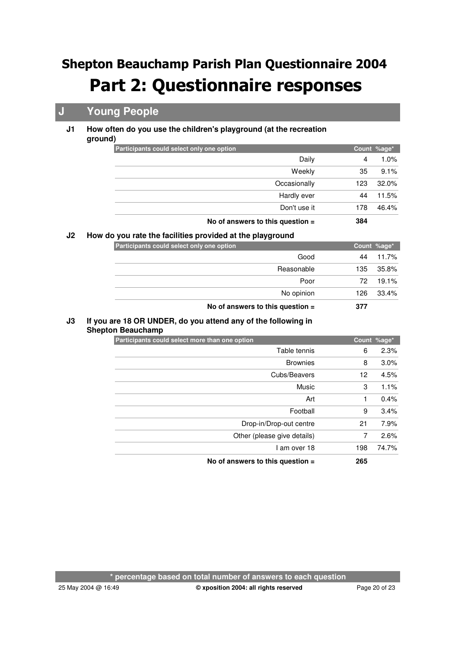## **J Young People**

#### **How often do you use the children's playground (at the recreation ground) J1**

| Participants could select only one option |                                    |     | Count %age* |
|-------------------------------------------|------------------------------------|-----|-------------|
|                                           | Daily                              | 4   | 1.0%        |
|                                           | Weekly                             | 35  | 9.1%        |
|                                           | Occasionally                       | 123 | 32.0%       |
|                                           | Hardly ever                        | 44  | 11.5%       |
|                                           | Don't use it                       | 178 | 46.4%       |
|                                           | No of answers to this question $=$ | 384 |             |

### **J2 How do you rate the facilities provided at the playground**

| Participants could select only one option |                                    |     | Count %age* |
|-------------------------------------------|------------------------------------|-----|-------------|
|                                           | Good                               | 44  | 11.7%       |
|                                           | Reasonable                         | 135 | 35.8%       |
|                                           | Poor                               | 72  | 19.1%       |
|                                           | No opinion                         | 126 | 33.4%       |
|                                           | No of answers to this question $=$ | 377 |             |

#### **If you are 18 OR UNDER, do you attend any of the following in J3**

| <b>Shepton Beauchamp</b> |
|--------------------------|
|                          |

| Participants could select more than one option |     | Count %age* |
|------------------------------------------------|-----|-------------|
| Table tennis                                   | 6   | 2.3%        |
| <b>Brownies</b>                                | 8   | 3.0%        |
| Cubs/Beavers                                   | 12  | 4.5%        |
| Music                                          | 3   | 1.1%        |
| Art                                            | 1   | 0.4%        |
| Football                                       | 9   | 3.4%        |
| Drop-in/Drop-out centre                        | 21  | 7.9%        |
| Other (please give details)                    | 7   | 2.6%        |
| I am over 18                                   | 198 | 74.7%       |
| No of answers to this question =               | 265 |             |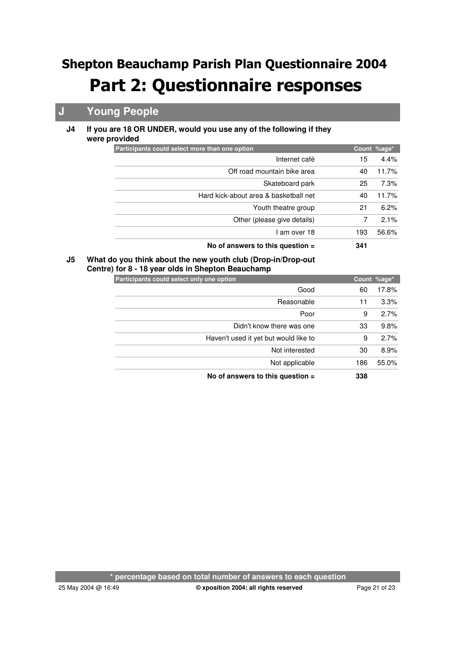## **J Young People**

#### **If you are 18 OR UNDER, would you use any of the following if they were provided J4**

| Participants could select more than one option |     | Count %age* |
|------------------------------------------------|-----|-------------|
| Internet café                                  | 15  | 4.4%        |
| Off road mountain bike area                    | 40  | 11.7%       |
| Skateboard park                                | 25  | 7.3%        |
| Hard kick-about area & basketball net          | 40  | 11.7%       |
| Youth theatre group                            | 21  | 6.2%        |
| Other (please give details)                    | 7   | 2.1%        |
| I am over 18                                   | 193 | 56.6%       |
| No of answers to this question $=$             | 341 |             |

#### **What do you think about the new youth club (Drop-in/Drop-out Centre) for 8 - 18 year olds in Shepton Beauchamp J5**

|  |  | <b>Participants could select only one option</b> |
|--|--|--------------------------------------------------|

| Participants could select only one option |     | Count %age* |
|-------------------------------------------|-----|-------------|
| Good                                      | 60  | 17.8%       |
| Reasonable                                | 11  | 3.3%        |
| Poor                                      | 9   | 2.7%        |
| Didn't know there was one                 | 33  | 9.8%        |
| Haven't used it yet but would like to     | 9   | 2.7%        |
| Not interested                            | 30  | 8.9%        |
| Not applicable                            | 186 | 55.0%       |
| No of answers to this question $=$        | 338 |             |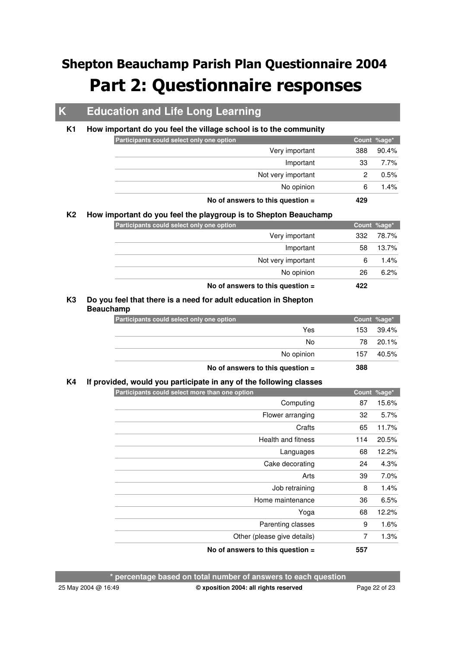## **K Education and Life Long Learning**

#### **K1 How important do you feel the village school is to the community**

| Participants could select only one option |                                    |     | Count %age* |
|-------------------------------------------|------------------------------------|-----|-------------|
|                                           | Very important                     | 388 | 90.4%       |
|                                           | Important                          | 33  | 7.7%        |
|                                           | Not very important                 |     | $0.5\%$     |
|                                           | No opinion                         | 6   | $1.4\%$     |
|                                           | No of answers to this question $=$ | 429 |             |

#### **K2 How important do you feel the playgroup is to Shepton Beauchamp**

| Participants could select only one option |     | Count %age* |
|-------------------------------------------|-----|-------------|
| Very important                            | 332 | 78.7%       |
| Important                                 | 58  | 13.7%       |
| Not very important                        | 6   | 1.4%        |
| No opinion                                | 26  | 6.2%        |
| No of answers to this question $=$        | 422 |             |

#### **Do you feel that there is a need for adult education in Shepton K3 Beauchamp**

| Participants could select only one option |            |      | Count %age* |
|-------------------------------------------|------------|------|-------------|
|                                           | Yes        | 153. | 39.4%       |
|                                           | No         | 78   | $20.1\%$    |
|                                           | No opinion | 157  | 40.5%       |
| No of answers to this question $=$        |            | 388  |             |

### **K4 If provided, would you participate in any of the following classes**

| Participants could select more than one option |     | Count %age* |
|------------------------------------------------|-----|-------------|
| Computing                                      | 87  | 15.6%       |
| Flower arranging                               | 32  | 5.7%        |
| Crafts                                         | 65  | 11.7%       |
| Health and fitness                             | 114 | 20.5%       |
| Languages                                      | 68  | 12.2%       |
| Cake decorating                                | 24  | 4.3%        |
| Arts                                           | 39  | $7.0\%$     |
| Job retraining                                 | 8   | 1.4%        |
| Home maintenance                               | 36  | 6.5%        |
| Yoga                                           | 68  | 12.2%       |
| Parenting classes                              | 9   | 1.6%        |
| Other (please give details)                    | 7   | 1.3%        |
| No of answers to this question $=$             | 557 |             |